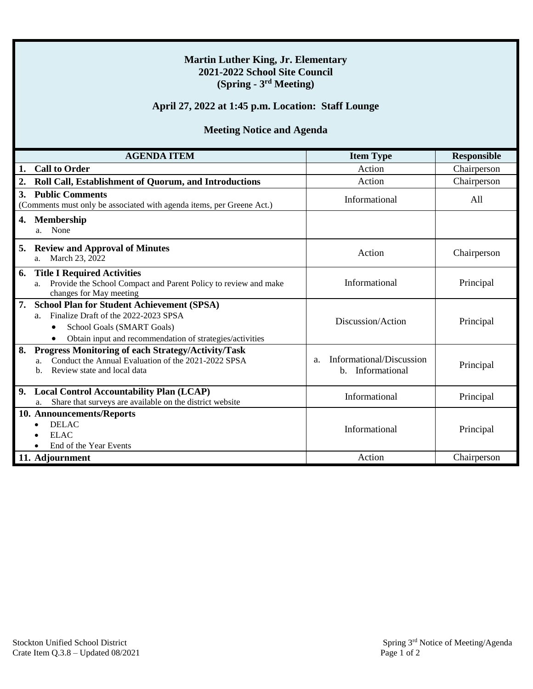### **Martin Luther King, Jr. Elementary 2021-2022 School Site Council (Spring - 3 rd Meeting)**

### **April 27, 2022 at 1:45 p.m. Location: Staff Lounge**

## **Meeting Notice and Agenda**

| <b>AGENDA ITEM</b>                                                                                                                                                                                   | <b>Item Type</b>                                                       | <b>Responsible</b> |
|------------------------------------------------------------------------------------------------------------------------------------------------------------------------------------------------------|------------------------------------------------------------------------|--------------------|
| <b>Call to Order</b>                                                                                                                                                                                 | Action                                                                 | Chairperson        |
| Roll Call, Establishment of Quorum, and Introductions                                                                                                                                                | Action                                                                 | Chairperson        |
| 3. Public Comments<br>(Comments must only be associated with agenda items, per Greene Act.)                                                                                                          | Informational                                                          | All                |
| <b>Membership</b><br>4.<br>None<br>a.                                                                                                                                                                |                                                                        |                    |
| <b>Review and Approval of Minutes</b><br>5.<br>March 23, 2022<br>a.                                                                                                                                  | Action                                                                 | Chairperson        |
| <b>Title I Required Activities</b><br>6.<br>Provide the School Compact and Parent Policy to review and make<br>a.<br>changes for May meeting                                                         | Informational                                                          | Principal          |
| <b>School Plan for Student Achievement (SPSA)</b><br>7.<br>Finalize Draft of the 2022-2023 SPSA<br>$a_{-}$<br>School Goals (SMART Goals)<br>Obtain input and recommendation of strategies/activities | Discussion/Action                                                      | Principal          |
| Progress Monitoring of each Strategy/Activity/Task<br>8.<br>Conduct the Annual Evaluation of the 2021-2022 SPSA<br>a.<br>Review state and local data<br>h.                                           | Informational/Discussion<br>a <sub>1</sub><br>Informational<br>$h_{-}$ | Principal          |
| 9.<br><b>Local Control Accountability Plan (LCAP)</b><br>Share that surveys are available on the district website<br>a.                                                                              | Informational                                                          | Principal          |
| 10. Announcements/Reports<br><b>DELAC</b><br><b>ELAC</b><br>End of the Year Events                                                                                                                   | Informational                                                          | Principal          |
| 11. Adjournment                                                                                                                                                                                      | Action                                                                 | Chairperson        |